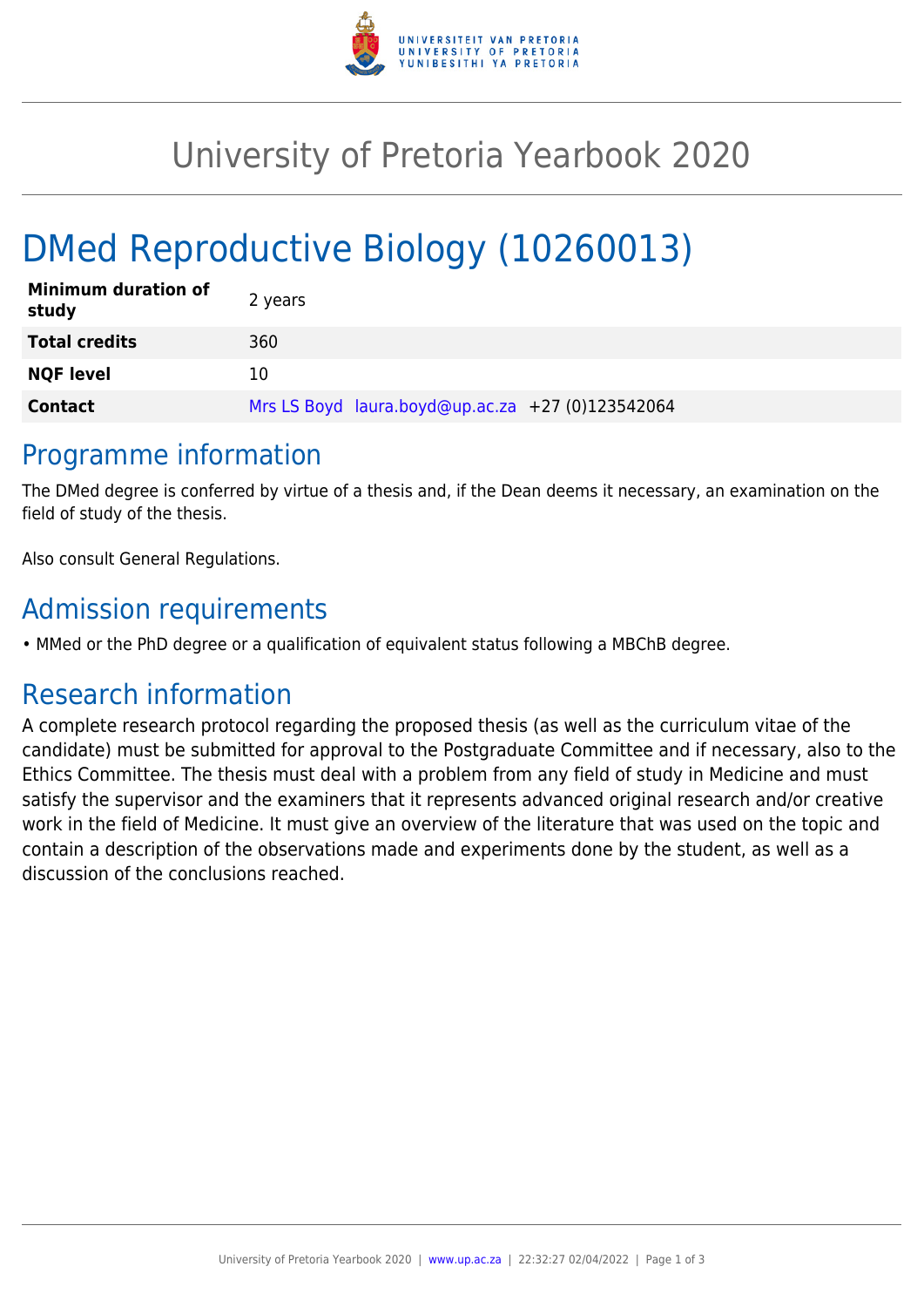

## University of Pretoria Yearbook 2020

# DMed Reproductive Biology (10260013)

| <b>Minimum duration of</b><br>study | 2 years                                          |
|-------------------------------------|--------------------------------------------------|
| <b>Total credits</b>                | 360                                              |
| <b>NQF level</b>                    | 10                                               |
| <b>Contact</b>                      | Mrs LS Boyd laura.boyd@up.ac.za +27 (0)123542064 |

### Programme information

The DMed degree is conferred by virtue of a thesis and, if the Dean deems it necessary, an examination on the field of study of the thesis.

Also consult General Regulations.

## Admission requirements

• MMed or the PhD degree or a qualification of equivalent status following a MBChB degree.

## Research information

A complete research protocol regarding the proposed thesis (as well as the curriculum vitae of the candidate) must be submitted for approval to the Postgraduate Committee and if necessary, also to the Ethics Committee. The thesis must deal with a problem from any field of study in Medicine and must satisfy the supervisor and the examiners that it represents advanced original research and/or creative work in the field of Medicine. It must give an overview of the literature that was used on the topic and contain a description of the observations made and experiments done by the student, as well as a discussion of the conclusions reached.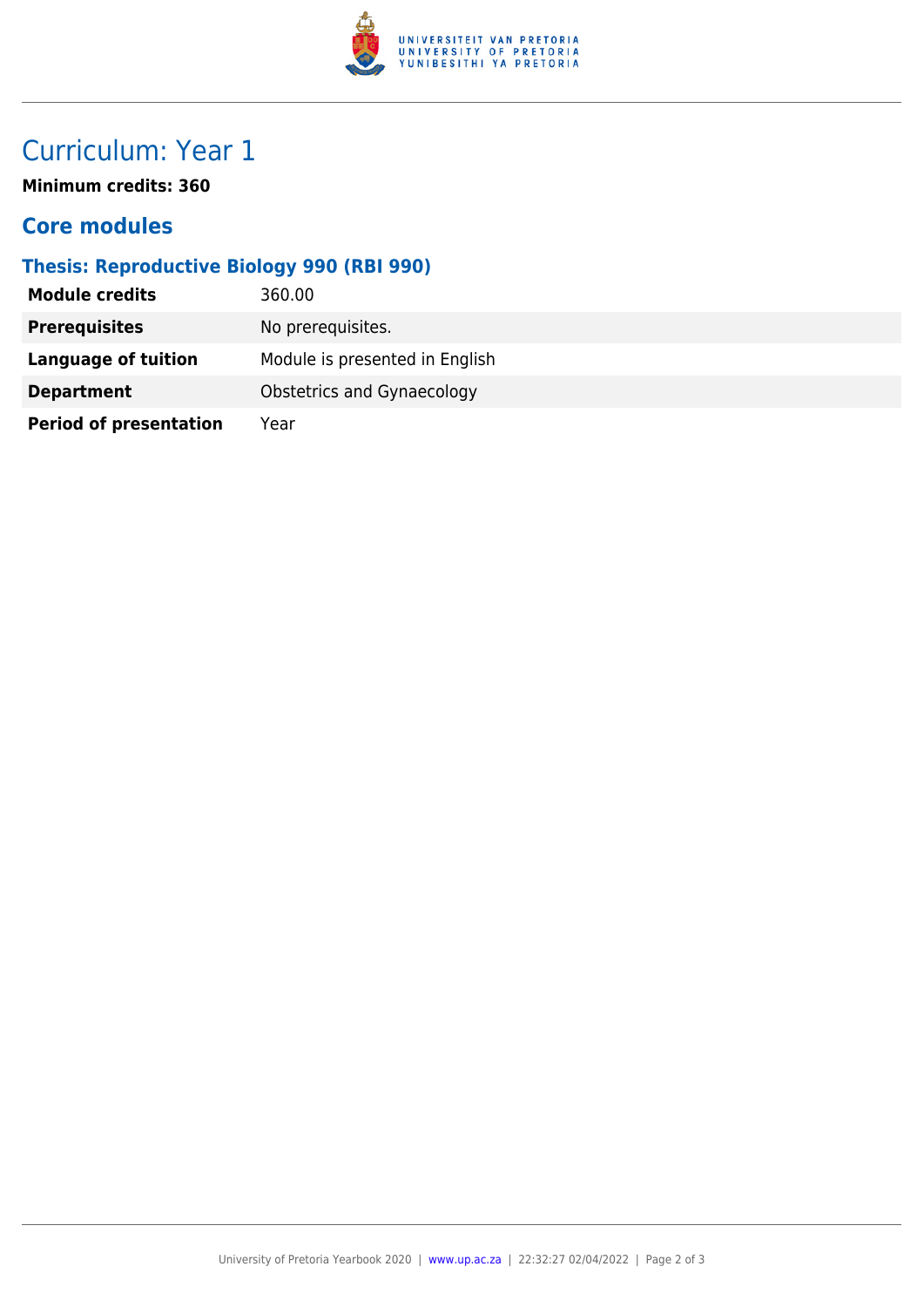

## Curriculum: Year 1

**Minimum credits: 360**

#### **Core modules**

### **Thesis: Reproductive Biology 990 (RBI 990)**

| <b>Module credits</b>         | 360.00                         |
|-------------------------------|--------------------------------|
| <b>Prerequisites</b>          | No prerequisites.              |
| Language of tuition           | Module is presented in English |
| <b>Department</b>             | Obstetrics and Gynaecology     |
| <b>Period of presentation</b> | Year                           |